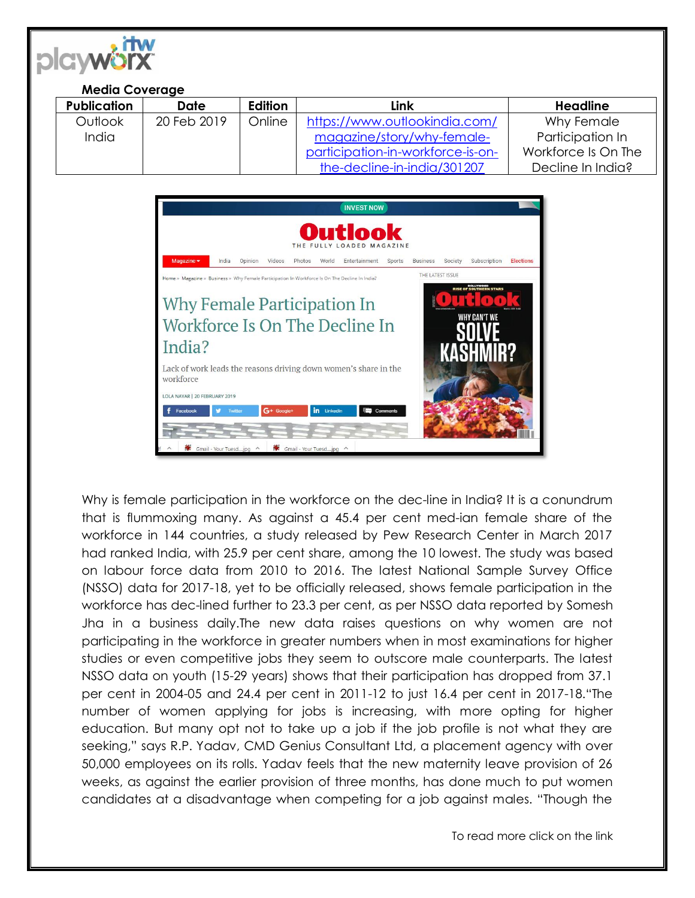

## **Media Coverage**

| <b>Publication</b> | Date        | <b>Edition</b> | Link                              | <b>Headline</b>     |
|--------------------|-------------|----------------|-----------------------------------|---------------------|
| Outlook            | 20 Feb 2019 | Online         | https://www.outlookindia.com/     | Why Female          |
| India              |             |                | magazine/story/why-female-        | Participation In    |
|                    |             |                | participation-in-workforce-is-on- | Workforce Is On The |
|                    |             |                | the-decline-in-india/301207       | Decline In India?   |



Why is female participation in the workforce on the dec-line in India? It is a conundrum that is flummoxing many. As against a 45.4 per cent med-ian female share of the workforce in 144 countries, a study released by Pew Research Center in March 2017 had ranked India, with 25.9 per cent share, among the 10 lowest. The study was based on labour force data from 2010 to 2016. The latest National Sample Survey Office (NSSO) data for 2017-18, yet to be officially released, shows female participation in the workforce has dec-lined further to 23.3 per cent, as per NSSO data reported by Somesh Jha in a business daily.The new data raises questions on why women are not participating in the workforce in greater numbers when in most examinations for higher studies or even competitive jobs they seem to outscore male counterparts. The latest NSSO data on youth (15-29 years) shows that their participation has dropped from 37.1 per cent in 2004-05 and 24.4 per cent in 2011-12 to just 16.4 per cent in 2017-18."The number of women applying for jobs is increasing, with more opting for higher education. But many opt not to take up a job if the job profile is not what they are seeking," says R.P. Yadav, CMD Genius Consultant Ltd, a placement agency with over 50,000 employees on its rolls. Yadav feels that the new maternity leave provision of 26 weeks, as against the earlier provision of three months, has done much to put women candidates at a disadvantage when competing for a job against males. "Though the

To read more click on the link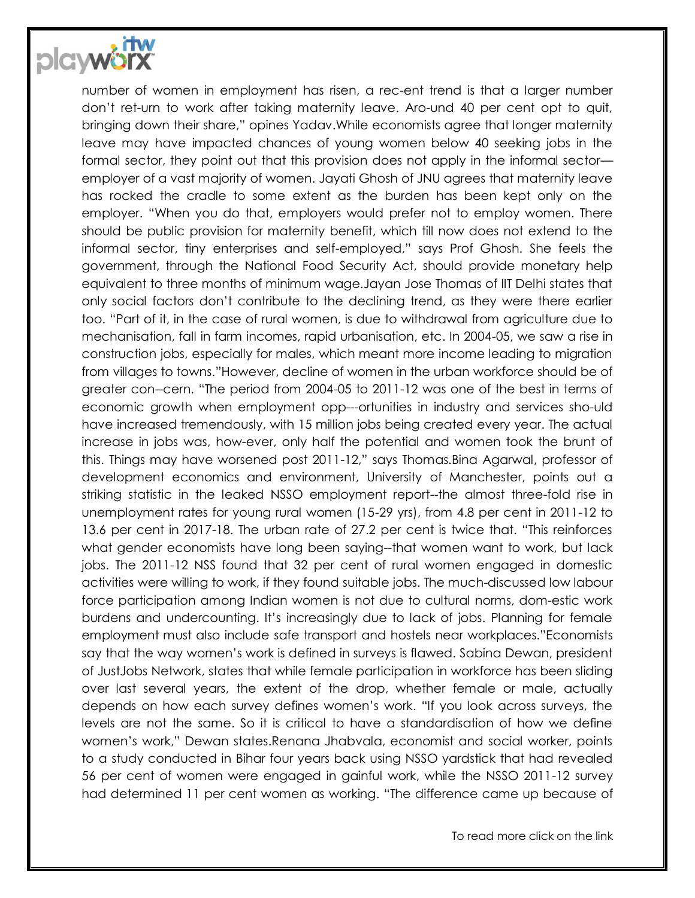

number of women in employment has risen, a rec-ent trend is that a larger number don't ret-urn to work after taking maternity leave. Aro-und 40 per cent opt to quit, bringing down their share," opines Yadav.While economists agree that longer maternity leave may have impacted chances of young women below 40 seeking jobs in the formal sector, they point out that this provision does not apply in the informal sector employer of a vast majority of women. Jayati Ghosh of JNU agrees that maternity leave has rocked the cradle to some extent as the burden has been kept only on the employer. "When you do that, employers would prefer not to employ women. There should be public provision for maternity benefit, which till now does not extend to the informal sector, tiny enterprises and self-employed," says Prof Ghosh. She feels the government, through the National Food Security Act, should provide monetary help equivalent to three months of minimum wage.Jayan Jose Thomas of IIT Delhi states that only social factors don't contribute to the declining trend, as they were there earlier too. "Part of it, in the case of rural women, is due to withdrawal from agriculture due to mechanisation, fall in farm incomes, rapid urbanisation, etc. In 2004-05, we saw a rise in construction jobs, especially for males, which meant more income leading to migration from villages to towns."However, decline of women in the urban workforce should be of greater con--cern. "The period from 2004-05 to 2011-12 was one of the best in terms of economic growth when employment opp---ortunities in industry and services sho-uld have increased tremendously, with 15 million jobs being created every year. The actual increase in jobs was, how-ever, only half the potential and women took the brunt of this. Things may have worsened post 2011-12," says Thomas.Bina Agarwal, professor of development economics and environment, University of Manchester, points out a striking statistic in the leaked NSSO employment report--the almost three-fold rise in unemployment rates for young rural women (15-29 yrs), from 4.8 per cent in 2011-12 to 13.6 per cent in 2017-18. The urban rate of 27.2 per cent is twice that. "This reinforces what gender economists have long been saying--that women want to work, but lack jobs. The 2011-12 NSS found that 32 per cent of rural women engaged in domestic activities were willing to work, if they found suitable jobs. The much-discussed low labour force participation among Indian women is not due to cultural norms, dom-estic work burdens and undercounting. It's increasingly due to lack of jobs. Planning for female employment must also include safe transport and hostels near workplaces."Economists say that the way women's work is defined in surveys is flawed. Sabina Dewan, president of JustJobs Network, states that while female participation in workforce has been sliding over last several years, the extent of the drop, whether female or male, actually depends on how each survey defines women's work. "If you look across surveys, the levels are not the same. So it is critical to have a standardisation of how we define women's work," Dewan states.Renana Jhabvala, economist and social worker, points to a study conducted in Bihar four years back using NSSO yardstick that had revealed 56 per cent of women were engaged in gainful work, while the NSSO 2011-12 survey had determined 11 per cent women as working. "The difference came up because of

To read more click on the link